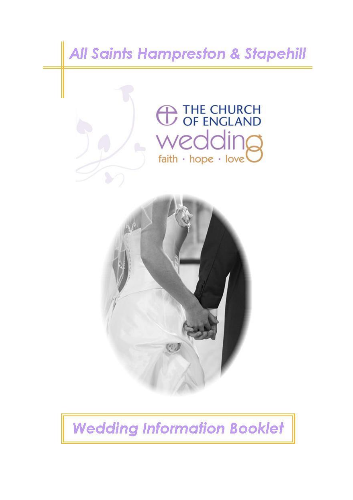# **All Saints Hampreston & Stapehill**



**Wedding Information Booklet**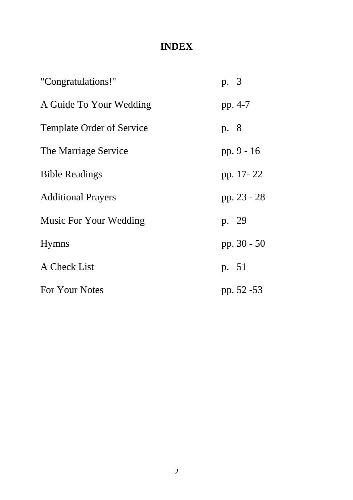# **INDEX**

| "Congratulations!"        | p. 3        |
|---------------------------|-------------|
| A Guide To Your Wedding   | pp. 4-7     |
| Template Order of Service | p. 8        |
| The Marriage Service      | pp. 9 - 16  |
| <b>Bible Readings</b>     | pp. 17-22   |
| <b>Additional Prayers</b> | pp. 23 - 28 |
| Music For Your Wedding    | p. 29       |
| <b>Hymns</b>              | pp. 30 - 50 |
| A Check List              | p. 51       |
| For Your Notes            | pp. 52 -53  |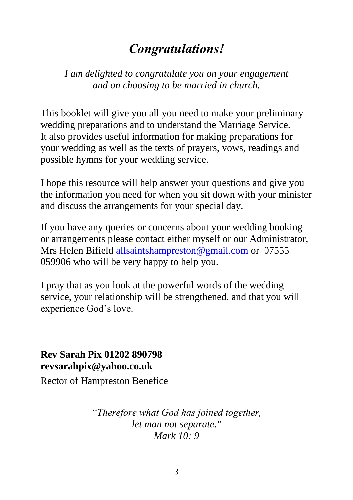# *Congratulations!*

*I am delighted to congratulate you on your engagement and on choosing to be married in church.*

This booklet will give you all you need to make your preliminary wedding preparations and to understand the Marriage Service. It also provides useful information for making preparations for your wedding as well as the texts of prayers, vows, readings and possible hymns for your wedding service.

I hope this resource will help answer your questions and give you the information you need for when you sit down with your minister and discuss the arrangements for your special day.

If you have any queries or concerns about your wedding booking or arrangements please contact either myself or our Administrator, Mrs Helen Bifield [allsaintshampreston@gmail.com](mailto:allsaintshampreston@gmail.com) or 07555 059906 who will be very happy to help you.

I pray that as you look at the powerful words of the wedding service, your relationship will be strengthened, and that you will experience God's love.

**Rev Sarah Pix 01202 890798 revsarahpix@yahoo.co.uk** Rector of Hampreston Benefice

> *"Therefore what God has joined together, let man not separate." Mark 10: 9*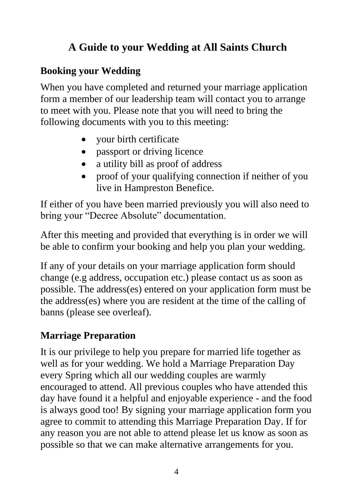# **A Guide to your Wedding at All Saints Church**

### **Booking your Wedding**

When you have completed and returned your marriage application form a member of our leadership team will contact you to arrange to meet with you. Please note that you will need to bring the following documents with you to this meeting:

- your birth certificate
- passport or driving licence
- a utility bill as proof of address
- proof of your qualifying connection if neither of you live in Hampreston Benefice.

If either of you have been married previously you will also need to bring your "Decree Absolute" documentation.

After this meeting and provided that everything is in order we will be able to confirm your booking and help you plan your wedding.

If any of your details on your marriage application form should change (e.g address, occupation etc.) please contact us as soon as possible. The address(es) entered on your application form must be the address(es) where you are resident at the time of the calling of banns (please see overleaf).

### **Marriage Preparation**

It is our privilege to help you prepare for married life together as well as for your wedding. We hold a Marriage Preparation Day every Spring which all our wedding couples are warmly encouraged to attend. All previous couples who have attended this day have found it a helpful and enjoyable experience - and the food is always good too! By signing your marriage application form you agree to commit to attending this Marriage Preparation Day. If for any reason you are not able to attend please let us know as soon as possible so that we can make alternative arrangements for you.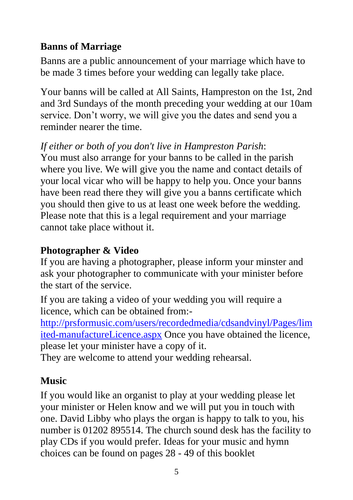# **Banns of Marriage**

Banns are a public announcement of your marriage which have to be made 3 times before your wedding can legally take place.

Your banns will be called at All Saints, Hampreston on the 1st, 2nd and 3rd Sundays of the month preceding your wedding at our 10am service. Don't worry, we will give you the dates and send you a reminder nearer the time.

### *If either or both of you don't live in Hampreston Parish*:

You must also arrange for your banns to be called in the parish where you live. We will give you the name and contact details of your local vicar who will be happy to help you. Once your banns have been read there they will give you a banns certificate which you should then give to us at least one week before the wedding. Please note that this is a legal requirement and your marriage cannot take place without it.

### **Photographer & Video**

If you are having a photographer, please inform your minster and ask your photographer to communicate with your minister before the start of the service.

If you are taking a video of your wedding you will require a licence, which can be obtained from:-

[http://prsformusic.com/users/recordedmedia/cdsandvinyl/Pages/lim](http://prsformusic.com/users/recordedmedia/cdsandvinyl/Pages/limited-manufactureLicence.aspx) [ited-manufactureLicence.aspx](http://prsformusic.com/users/recordedmedia/cdsandvinyl/Pages/limited-manufactureLicence.aspx) Once you have obtained the licence, please let your minister have a copy of it.

They are welcome to attend your wedding rehearsal.

# **Music**

If you would like an organist to play at your wedding please let your minister or Helen know and we will put you in touch with one. David Libby who plays the organ is happy to talk to you, his number is 01202 895514. The church sound desk has the facility to play CDs if you would prefer. Ideas for your music and hymn choices can be found on pages 28 - 49 of this booklet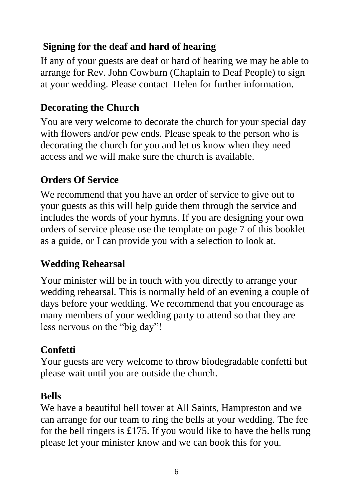# **Signing for the deaf and hard of hearing**

If any of your guests are deaf or hard of hearing we may be able to arrange for Rev. John Cowburn (Chaplain to Deaf People) to sign at your wedding. Please contact Helen for further information.

# **Decorating the Church**

You are very welcome to decorate the church for your special day with flowers and/or pew ends. Please speak to the person who is decorating the church for you and let us know when they need access and we will make sure the church is available.

# **Orders Of Service**

We recommend that you have an order of service to give out to your guests as this will help guide them through the service and includes the words of your hymns. If you are designing your own orders of service please use the template on page 7 of this booklet as a guide, or I can provide you with a selection to look at.

# **Wedding Rehearsal**

Your minister will be in touch with you directly to arrange your wedding rehearsal. This is normally held of an evening a couple of days before your wedding. We recommend that you encourage as many members of your wedding party to attend so that they are less nervous on the "big day"!

# **Confetti**

Your guests are very welcome to throw biodegradable confetti but please wait until you are outside the church.

# **Bells**

We have a beautiful bell tower at All Saints, Hampreston and we can arrange for our team to ring the bells at your wedding. The fee for the bell ringers is £175. If you would like to have the bells rung please let your minister know and we can book this for you.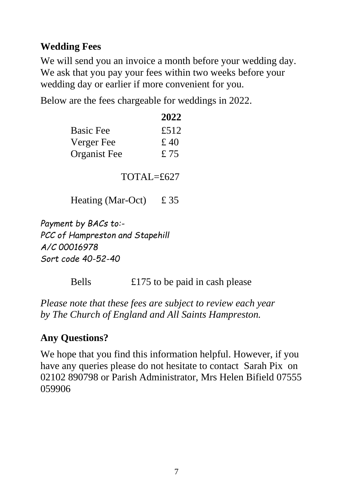### **Wedding Fees**

We will send you an invoice a month before your wedding day. We ask that you pay your fees within two weeks before your wedding day or earlier if more convenient for you.

Below are the fees chargeable for weddings in 2022.

|                                              | 2022 |
|----------------------------------------------|------|
| <b>Basic Fee</b>                             | £512 |
| Verger Fee                                   | £ 40 |
| Organist Fee                                 | £ 75 |
| $TOTAI = £627$                               |      |
| Heating (Mar-Oct)                            | £ 35 |
| ent by BACs to:-<br>$711.$ $13.$ $15.$ $17.$ |      |

*Payment by BACs to:- PCC of Hampreston and Stapehill A/C 00016978 Sort code 40-52-40*

Bells  $£175$  to be paid in cash please

*Please note that these fees are subject to review each year by The Church of England and All Saints Hampreston.*

### **Any Questions?**

We hope that you find this information helpful. However, if you have any queries please do not hesitate to contact Sarah Pix on 02102 890798 or Parish Administrator, Mrs Helen Bifield 07555 059906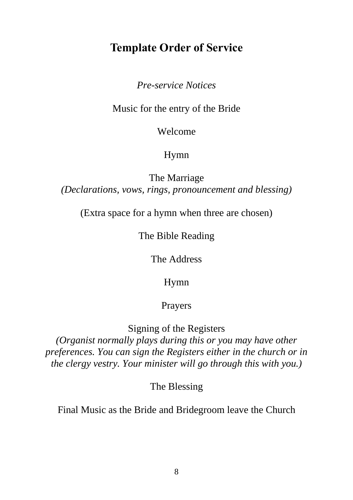# **Template Order of Service**

#### *Pre-service Notices*

Music for the entry of the Bride

Welcome

### Hymn

The Marriage *(Declarations, vows, rings, pronouncement and blessing)*

(Extra space for a hymn when three are chosen)

The Bible Reading

The Address

Hymn

#### Prayers

Signing of the Registers *(Organist normally plays during this or you may have other preferences. You can sign the Registers either in the church or in* 

The Blessing

*the clergy vestry. Your minister will go through this with you.)*

Final Music as the Bride and Bridegroom leave the Church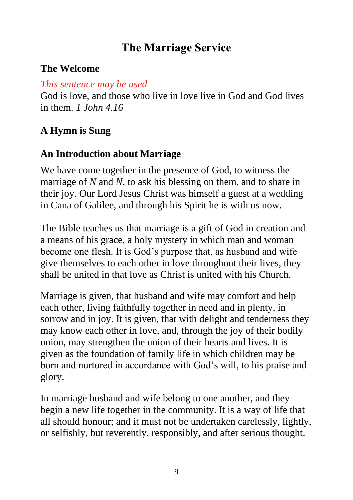# **The Marriage Service**

### **The Welcome**

### *This sentence may be used*

God is love, and those who live in love live in God and God lives in them. *1 John 4.16*

# **A Hymn is Sung**

# **An Introduction about Marriage**

We have come together in the presence of God, to witness the marriage of *N* and *N*, to ask his blessing on them, and to share in their joy. Our Lord Jesus Christ was himself a guest at a wedding in Cana of Galilee, and through his Spirit he is with us now.

The Bible teaches us that marriage is a gift of God in creation and a means of his grace, a holy mystery in which man and woman become one flesh. It is God's purpose that, as husband and wife give themselves to each other in love throughout their lives, they shall be united in that love as Christ is united with his Church.

Marriage is given, that husband and wife may comfort and help each other, living faithfully together in need and in plenty, in sorrow and in joy. It is given, that with delight and tenderness they may know each other in love, and, through the joy of their bodily union, may strengthen the union of their hearts and lives. It is given as the foundation of family life in which children may be born and nurtured in accordance with God's will, to his praise and glory.

In marriage husband and wife belong to one another, and they begin a new life together in the community. It is a way of life that all should honour; and it must not be undertaken carelessly, lightly, or selfishly, but reverently, responsibly, and after serious thought.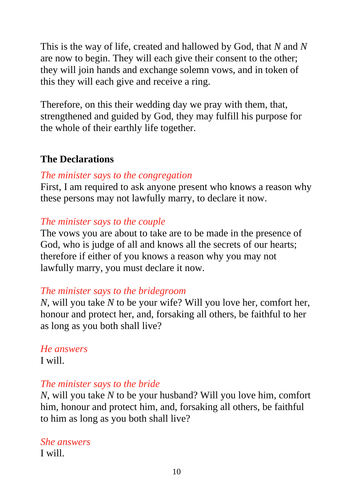This is the way of life, created and hallowed by God, that *N* and *N* are now to begin. They will each give their consent to the other; they will join hands and exchange solemn vows, and in token of this they will each give and receive a ring.

Therefore, on this their wedding day we pray with them, that, strengthened and guided by God, they may fulfill his purpose for the whole of their earthly life together.

### **The Declarations**

### *The minister says to the congregation*

First, I am required to ask anyone present who knows a reason why these persons may not lawfully marry, to declare it now.

### *The minister says to the couple*

The vows you are about to take are to be made in the presence of God, who is judge of all and knows all the secrets of our hearts; therefore if either of you knows a reason why you may not lawfully marry, you must declare it now.

### *The minister says to the bridegroom*

*N*, will you take *N* to be your wife? Will you love her, comfort her, honour and protect her, and, forsaking all others, be faithful to her as long as you both shall live?

#### *He answers*

I will.

### *The minister says to the bride*

*N*, will you take *N* to be your husband? Will you love him, comfort him, honour and protect him, and, forsaking all others, be faithful to him as long as you both shall live?

### *She answers*

I will.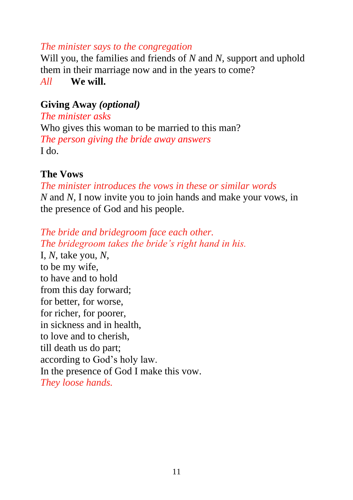#### *The minister says to the congregation*

Will you, the families and friends of *N* and *N,* support and uphold them in their marriage now and in the years to come? *All* **We will.**

### **Giving Away** *(optional)*

*The minister asks* Who gives this woman to be married to this man? *The person giving the bride away answers* I do.

### **The Vows**

*The minister introduces the vows in these or similar words N* and *N,* I now invite you to join hands and make your vows, in the presence of God and his people.

*The bride and bridegroom face each other. The bridegroom takes the bride's right hand in his.* I, *N*, take you, *N*, to be my wife, to have and to hold from this day forward; for better, for worse, for richer, for poorer, in sickness and in health, to love and to cherish, till death us do part; according to God's holy law. In the presence of God I make this vow. *They loose hands.*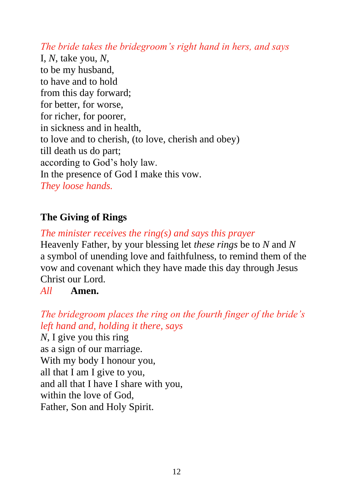*The bride takes the bridegroom's right hand in hers, and says*

I, *N*, take you, *N*, to be my husband, to have and to hold from this day forward; for better, for worse, for richer, for poorer, in sickness and in health, to love and to cherish, (to love, cherish and obey) till death us do part; according to God's holy law. In the presence of God I make this vow. *They loose hands.*

# **The Giving of Rings**

*The minister receives the ring(s) and says this prayer* Heavenly Father, by your blessing let *these rings* be to *N* and *N*  a symbol of unending love and faithfulness, to remind them of the vow and covenant which they have made this day through Jesus Christ our Lord.

# *All* **Amen.**

*The bridegroom places the ring on the fourth finger of the bride's left hand and, holding it there, says*

*N*, I give you this ring as a sign of our marriage. With my body I honour you, all that I am I give to you, and all that I have I share with you, within the love of God, Father, Son and Holy Spirit.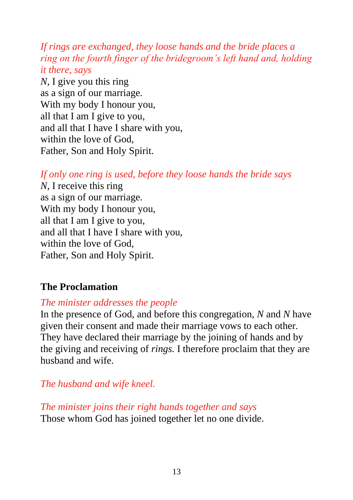*If rings are exchanged, they loose hands and the bride places a ring on the fourth finger of the bridegroom's left hand and, holding it there, says*

*N,* I give you this ring as a sign of our marriage. With my body I honour you, all that I am I give to you, and all that I have I share with you, within the love of God, Father, Son and Holy Spirit.

*If only one ring is used, before they loose hands the bride says N,* I receive this ring as a sign of our marriage. With my body I honour you,

all that I am I give to you,

and all that I have I share with you, within the love of God,

Father, Son and Holy Spirit.

# **The Proclamation**

### *The minister addresses the people*

In the presence of God, and before this congregation, *N* and *N* have given their consent and made their marriage vows to each other. They have declared their marriage by the joining of hands and by the giving and receiving of *rings.* I therefore proclaim that they are husband and wife.

*The husband and wife kneel.* 

*The minister joins their right hands together and says* Those whom God has joined together let no one divide.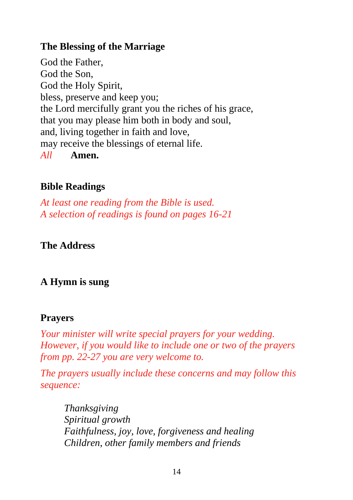### **The Blessing of the Marriage**

God the Father, God the Son, God the Holy Spirit, bless, preserve and keep you; the Lord mercifully grant you the riches of his grace, that you may please him both in body and soul, and, living together in faith and love, may receive the blessings of eternal life.

#### *All* **Amen.**

### **Bible Readings**

*At least one reading from the Bible is used. A selection of readings is found on pages 16-21*

### **The Address**

### **A Hymn is sung**

#### **Prayers**

*Your minister will write special prayers for your wedding. However, if you would like to include one or two of the prayers from pp. 22-27 you are very welcome to.*

*The prayers usually include these concerns and may follow this sequence:*

*Thanksgiving Spiritual growth Faithfulness, joy, love, forgiveness and healing Children, other family members and friends*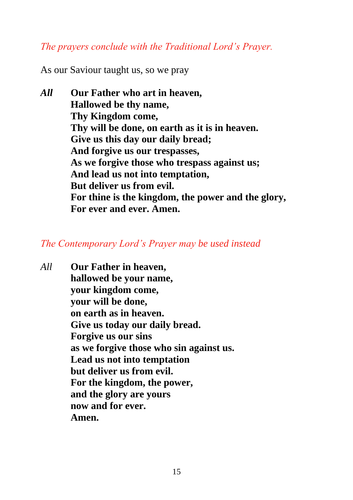### *The prayers conclude with the Traditional Lord's Prayer.*

As our Saviour taught us, so we pray

*All* **Our Father who art in heaven, Hallowed be thy name, Thy Kingdom come, Thy will be done, on earth as it is in heaven. Give us this day our daily bread; And forgive us our trespasses, As we forgive those who trespass against us; And lead us not into temptation, But deliver us from evil. For thine is the kingdom, the power and the glory, For ever and ever. Amen.** 

#### *The Contemporary Lord's Prayer may be used instead*

*All* **Our Father in heaven, hallowed be your name, your kingdom come, your will be done, on earth as in heaven. Give us today our daily bread. Forgive us our sins as we forgive those who sin against us. Lead us not into temptation but deliver us from evil. For the kingdom, the power, and the glory are yours now and for ever. Amen.**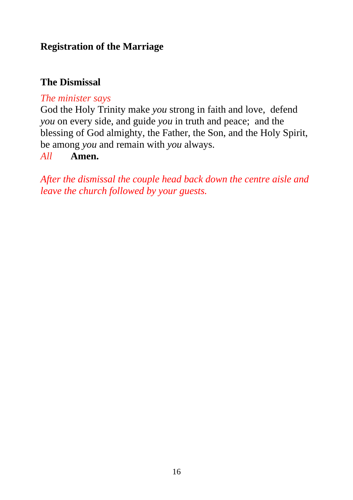### **Registration of the Marriage**

### **The Dismissal**

### *The minister says*

God the Holy Trinity make *you* strong in faith and love, defend *you* on every side, and guide *you* in truth and peace; and the blessing of God almighty, the Father, the Son, and the Holy Spirit, be among *you* and remain with *you* always.

### *All* **Amen.**

*After the dismissal the couple head back down the centre aisle and leave the church followed by your guests.*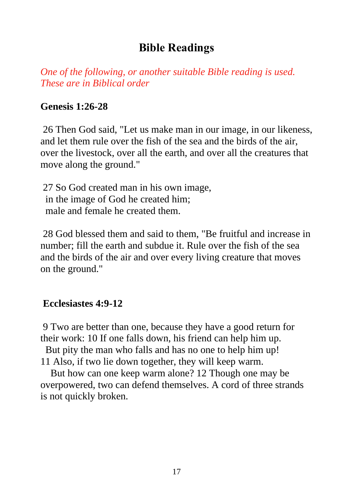# **Bible Readings**

*One of the following, or another suitable Bible reading is used. These are in Biblical order* 

#### **Genesis 1:26-28**

26 Then God said, "Let us make man in our image, in our likeness, and let them rule over the fish of the sea and the birds of the air, over the livestock, over all the earth, and over all the creatures that move along the ground."

27 So God created man in his own image, in the image of God he created him; male and female he created them.

28 God blessed them and said to them, "Be fruitful and increase in number; fill the earth and subdue it. Rule over the fish of the sea and the birds of the air and over every living creature that moves on the ground."

#### **Ecclesiastes 4:9-12**

9 Two are better than one, because they have a good return for their work: 10 If one falls down, his friend can help him up.

 But pity the man who falls and has no one to help him up! 11 Also, if two lie down together, they will keep warm.

 But how can one keep warm alone? 12 Though one may be overpowered, two can defend themselves. A cord of three strands is not quickly broken.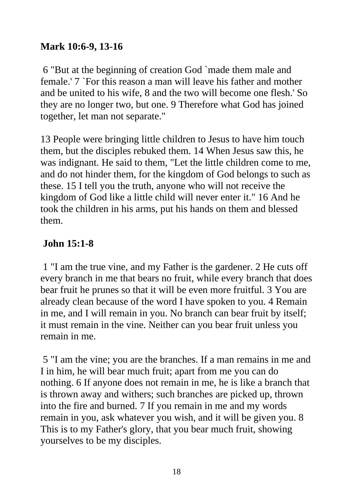### **Mark 10:6-9, 13-16**

6 "But at the beginning of creation God `made them male and female.' 7 `For this reason a man will leave his father and mother and be united to his wife, 8 and the two will become one flesh.' So they are no longer two, but one. 9 Therefore what God has joined together, let man not separate."

13 People were bringing little children to Jesus to have him touch them, but the disciples rebuked them. 14 When Jesus saw this, he was indignant. He said to them, "Let the little children come to me, and do not hinder them, for the kingdom of God belongs to such as these. 15 I tell you the truth, anyone who will not receive the kingdom of God like a little child will never enter it." 16 And he took the children in his arms, put his hands on them and blessed them.

### **John 15:1-8**

1 "I am the true vine, and my Father is the gardener. 2 He cuts off every branch in me that bears no fruit, while every branch that does bear fruit he prunes so that it will be even more fruitful. 3 You are already clean because of the word I have spoken to you. 4 Remain in me, and I will remain in you. No branch can bear fruit by itself; it must remain in the vine. Neither can you bear fruit unless you remain in me.

5 "I am the vine; you are the branches. If a man remains in me and I in him, he will bear much fruit; apart from me you can do nothing. 6 If anyone does not remain in me, he is like a branch that is thrown away and withers; such branches are picked up, thrown into the fire and burned. 7 If you remain in me and my words remain in you, ask whatever you wish, and it will be given you. 8 This is to my Father's glory, that you bear much fruit, showing yourselves to be my disciples.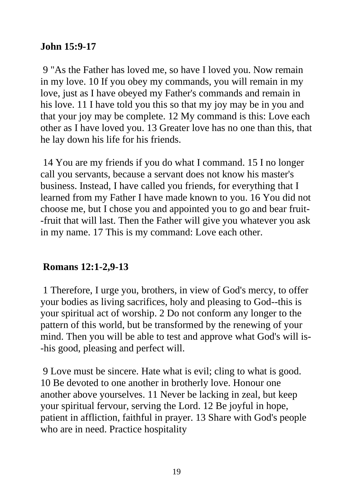#### **John 15:9-17**

9 "As the Father has loved me, so have I loved you. Now remain in my love. 10 If you obey my commands, you will remain in my love, just as I have obeyed my Father's commands and remain in his love. 11 I have told you this so that my joy may be in you and that your joy may be complete. 12 My command is this: Love each other as I have loved you. 13 Greater love has no one than this, that he lay down his life for his friends.

14 You are my friends if you do what I command. 15 I no longer call you servants, because a servant does not know his master's business. Instead, I have called you friends, for everything that I learned from my Father I have made known to you. 16 You did not choose me, but I chose you and appointed you to go and bear fruit- -fruit that will last. Then the Father will give you whatever you ask in my name. 17 This is my command: Love each other.

### **Romans 12:1-2,9-13**

1 Therefore, I urge you, brothers, in view of God's mercy, to offer your bodies as living sacrifices, holy and pleasing to God--this is your spiritual act of worship. 2 Do not conform any longer to the pattern of this world, but be transformed by the renewing of your mind. Then you will be able to test and approve what God's will is- -his good, pleasing and perfect will.

9 Love must be sincere. Hate what is evil; cling to what is good. 10 Be devoted to one another in brotherly love. Honour one another above yourselves. 11 Never be lacking in zeal, but keep your spiritual fervour, serving the Lord. 12 Be joyful in hope, patient in affliction, faithful in prayer. 13 Share with God's people who are in need. Practice hospitality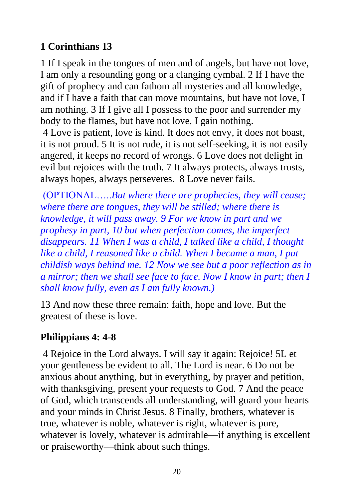# **1 Corinthians 13**

1 If I speak in the tongues of men and of angels, but have not love, I am only a resounding gong or a clanging cymbal. 2 If I have the gift of prophecy and can fathom all mysteries and all knowledge, and if I have a faith that can move mountains, but have not love, I am nothing. 3 If I give all I possess to the poor and surrender my body to the flames, but have not love, I gain nothing.

4 Love is patient, love is kind. It does not envy, it does not boast, it is not proud. 5 It is not rude, it is not self-seeking, it is not easily angered, it keeps no record of wrongs. 6 Love does not delight in evil but rejoices with the truth. 7 It always protects, always trusts, always hopes, always perseveres. 8 Love never fails.

(OPTIONAL…..*But where there are prophecies, they will cease; where there are tongues, they will be stilled; where there is knowledge, it will pass away. 9 For we know in part and we prophesy in part, 10 but when perfection comes, the imperfect disappears. 11 When I was a child, I talked like a child, I thought like a child, I reasoned like a child. When I became a man, I put childish ways behind me. 12 Now we see but a poor reflection as in a mirror; then we shall see face to face. Now I know in part; then I shall know fully, even as I am fully known.)*

13 And now these three remain: faith, hope and love. But the greatest of these is love.

### **Philippians 4: 4-8**

4 Rejoice in the Lord always. I will say it again: Rejoice! 5L et your gentleness be evident to all. The Lord is near. 6 Do not be anxious about anything, but in everything, by prayer and petition, with thanksgiving, present your requests to God. 7 And the peace of God, which transcends all understanding, will guard your hearts and your minds in Christ Jesus. 8 Finally, brothers, whatever is true, whatever is noble, whatever is right, whatever is pure, whatever is lovely, whatever is admirable—if anything is excellent or praiseworthy—think about such things.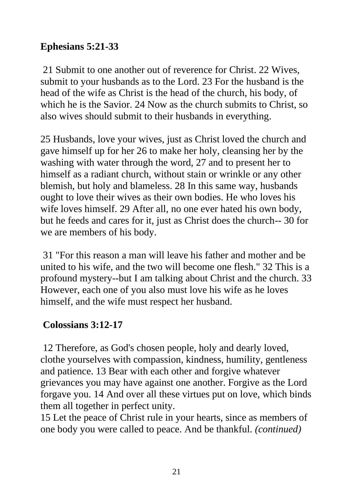### **Ephesians 5:21-33**

21 Submit to one another out of reverence for Christ. 22 Wives, submit to your husbands as to the Lord. 23 For the husband is the head of the wife as Christ is the head of the church, his body, of which he is the Savior. 24 Now as the church submits to Christ, so also wives should submit to their husbands in everything.

25 Husbands, love your wives, just as Christ loved the church and gave himself up for her 26 to make her holy, cleansing her by the washing with water through the word, 27 and to present her to himself as a radiant church, without stain or wrinkle or any other blemish, but holy and blameless. 28 In this same way, husbands ought to love their wives as their own bodies. He who loves his wife loves himself. 29 After all, no one ever hated his own body, but he feeds and cares for it, just as Christ does the church-- 30 for we are members of his body.

31 "For this reason a man will leave his father and mother and be united to his wife, and the two will become one flesh." 32 This is a profound mystery--but I am talking about Christ and the church. 33 However, each one of you also must love his wife as he loves himself, and the wife must respect her husband.

#### **Colossians 3:12-17**

12 Therefore, as God's chosen people, holy and dearly loved, clothe yourselves with compassion, kindness, humility, gentleness and patience. 13 Bear with each other and forgive whatever grievances you may have against one another. Forgive as the Lord forgave you. 14 And over all these virtues put on love, which binds them all together in perfect unity.

15 Let the peace of Christ rule in your hearts, since as members of one body you were called to peace. And be thankful. *(continued)*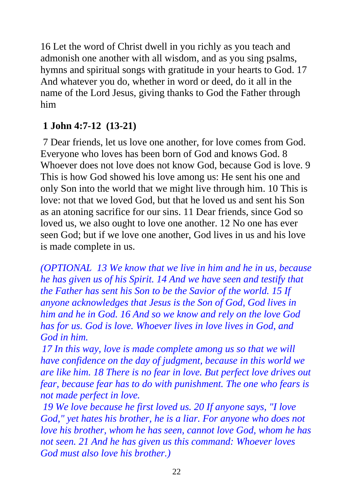16 Let the word of Christ dwell in you richly as you teach and admonish one another with all wisdom, and as you sing psalms, hymns and spiritual songs with gratitude in your hearts to God. 17 And whatever you do, whether in word or deed, do it all in the name of the Lord Jesus, giving thanks to God the Father through him

# **1 John 4:7-12 (13-21)**

7 Dear friends, let us love one another, for love comes from God. Everyone who loves has been born of God and knows God. 8 Whoever does not love does not know God, because God is love. 9 This is how God showed his love among us: He sent his one and only Son into the world that we might live through him. 10 This is love: not that we loved God, but that he loved us and sent his Son as an atoning sacrifice for our sins. 11 Dear friends, since God so loved us, we also ought to love one another. 12 No one has ever seen God; but if we love one another, God lives in us and his love is made complete in us.

*(OPTIONAL 13 We know that we live in him and he in us, because he has given us of his Spirit. 14 And we have seen and testify that the Father has sent his Son to be the Savior of the world. 15 If anyone acknowledges that Jesus is the Son of God, God lives in him and he in God. 16 And so we know and rely on the love God has for us. God is love. Whoever lives in love lives in God, and God in him.* 

*17 In this way, love is made complete among us so that we will have confidence on the day of judgment, because in this world we are like him. 18 There is no fear in love. But perfect love drives out fear, because fear has to do with punishment. The one who fears is not made perfect in love.*

*19 We love because he first loved us. 20 If anyone says, "I love God," yet hates his brother, he is a liar. For anyone who does not love his brother, whom he has seen, cannot love God, whom he has not seen. 21 And he has given us this command: Whoever loves God must also love his brother.)*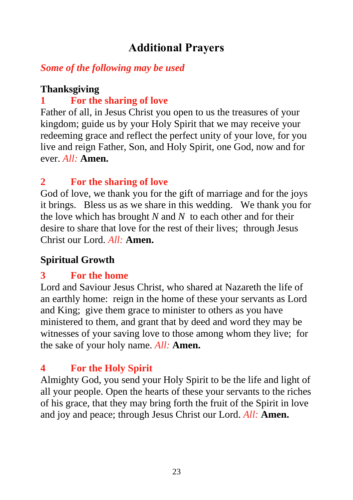# **Additional Prayers**

# *Some of the following may be used*

# **Thanksgiving**

# **1 For the sharing of love**

Father of all, in Jesus Christ you open to us the treasures of your kingdom; guide us by your Holy Spirit that we may receive your redeeming grace and reflect the perfect unity of your love, for you live and reign Father, Son, and Holy Spirit, one God, now and for ever. *All:* **Amen.**

# **2 For the sharing of love**

God of love, we thank you for the gift of marriage and for the joys it brings. Bless us as we share in this wedding. We thank you for the love which has brought *N* and *N* to each other and for their desire to share that love for the rest of their lives; through Jesus Christ our Lord. *All:* **Amen.**

# **Spiritual Growth**

# **3 For the home**

Lord and Saviour Jesus Christ, who shared at Nazareth the life of an earthly home: reign in the home of these your servants as Lord and King; give them grace to minister to others as you have ministered to them, and grant that by deed and word they may be witnesses of your saving love to those among whom they live; for the sake of your holy name. *All:* **Amen.**

# **4 For the Holy Spirit**

Almighty God, you send your Holy Spirit to be the life and light of all your people. Open the hearts of these your servants to the riches of his grace, that they may bring forth the fruit of the Spirit in love and joy and peace; through Jesus Christ our Lord. *All:* **Amen.**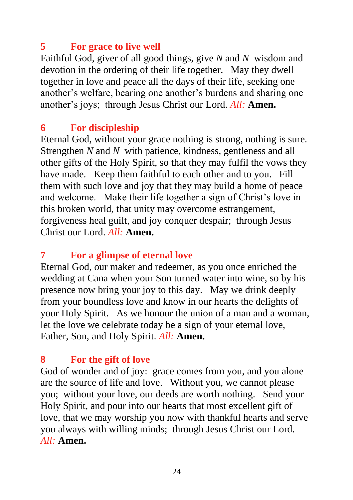# **5 For grace to live well**

Faithful God, giver of all good things, give *N* and *N* wisdom and devotion in the ordering of their life together. May they dwell together in love and peace all the days of their life, seeking one another's welfare, bearing one another's burdens and sharing one another's joys; through Jesus Christ our Lord. *All:* **Amen.**

# **6 For discipleship**

Eternal God, without your grace nothing is strong, nothing is sure. Strengthen *N* and *N* with patience, kindness, gentleness and all other gifts of the Holy Spirit, so that they may fulfil the vows they have made. Keep them faithful to each other and to you. Fill them with such love and joy that they may build a home of peace and welcome. Make their life together a sign of Christ's love in this broken world, that unity may overcome estrangement, forgiveness heal guilt, and joy conquer despair; through Jesus Christ our Lord. *All:* **Amen.**

# **7 For a glimpse of eternal love**

Eternal God, our maker and redeemer, as you once enriched the wedding at Cana when your Son turned water into wine, so by his presence now bring your joy to this day. May we drink deeply from your boundless love and know in our hearts the delights of your Holy Spirit. As we honour the union of a man and a woman, let the love we celebrate today be a sign of your eternal love, Father, Son, and Holy Spirit. *All:* **Amen.**

# **8 For the gift of love**

God of wonder and of joy: grace comes from you, and you alone are the source of life and love. Without you, we cannot please you; without your love, our deeds are worth nothing. Send your Holy Spirit, and pour into our hearts that most excellent gift of love, that we may worship you now with thankful hearts and serve you always with willing minds; through Jesus Christ our Lord. *All:* **Amen.**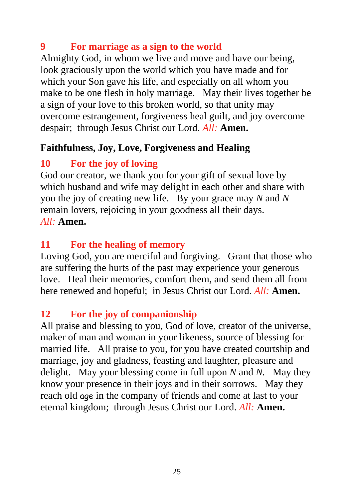# **9 For marriage as a sign to the world**

Almighty God, in whom we live and move and have our being, look graciously upon the world which you have made and for which your Son gave his life, and especially on all whom you make to be one flesh in holy marriage. May their lives together be a sign of your love to this broken world, so that unity may overcome estrangement, forgiveness heal guilt, and joy overcome despair; through Jesus Christ our Lord. *All:* **Amen.**

### **Faithfulness, Joy, Love, Forgiveness and Healing**

# **10 For the joy of loving**

God our creator, we thank you for your gift of sexual love by which husband and wife may delight in each other and share with you the joy of creating new life. By your grace may *N* and *N*  remain lovers, rejoicing in your goodness all their days.  $All:$  **Amen**.

# **11 For the healing of memory**

Loving God, you are merciful and forgiving. Grant that those who are suffering the hurts of the past may experience your generous love. Heal their memories, comfort them, and send them all from here renewed and hopeful; in Jesus Christ our Lord. *All:* **Amen.**

# **12 For the joy of companionship**

All praise and blessing to you, God of love, creator of the universe, maker of man and woman in your likeness, source of blessing for married life. All praise to you, for you have created courtship and marriage, joy and gladness, feasting and laughter, pleasure and delight. May your blessing come in full upon *N* and *N.* May they know your presence in their joys and in their sorrows. May they reach old age in the company of friends and come at last to your eternal kingdom; through Jesus Christ our Lord. *All:* **Amen.**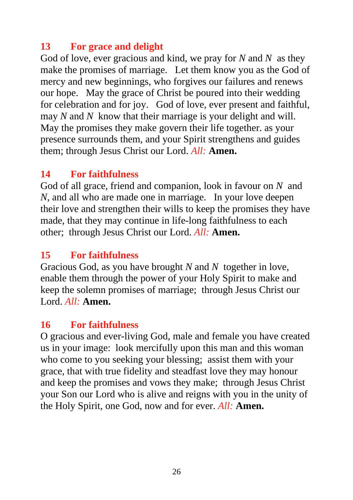# **13 For grace and delight**

God of love, ever gracious and kind, we pray for *N* and *N* as they make the promises of marriage. Let them know you as the God of mercy and new beginnings, who forgives our failures and renews our hope. May the grace of Christ be poured into their wedding for celebration and for joy. God of love, ever present and faithful, may *N* and *N* know that their marriage is your delight and will. May the promises they make govern their life together. as your presence surrounds them, and your Spirit strengthens and guides them; through Jesus Christ our Lord. *All:* **Amen.**

# **14 For faithfulness**

God of all grace, friend and companion, look in favour on *N* and *N*, and all who are made one in marriage. In your love deepen their love and strengthen their wills to keep the promises they have made, that they may continue in life-long faithfulness to each other; through Jesus Christ our Lord. *All:* **Amen.**

# **15 For faithfulness**

Gracious God, as you have brought *N* and *N* together in love, enable them through the power of your Holy Spirit to make and keep the solemn promises of marriage; through Jesus Christ our Lord. *All:* **Amen.**

### **16 For faithfulness**

O gracious and ever-living God, male and female you have created us in your image: look mercifully upon this man and this woman who come to you seeking your blessing; assist them with your grace, that with true fidelity and steadfast love they may honour and keep the promises and vows they make; through Jesus Christ your Son our Lord who is alive and reigns with you in the unity of the Holy Spirit, one God, now and for ever. *All:* **Amen.**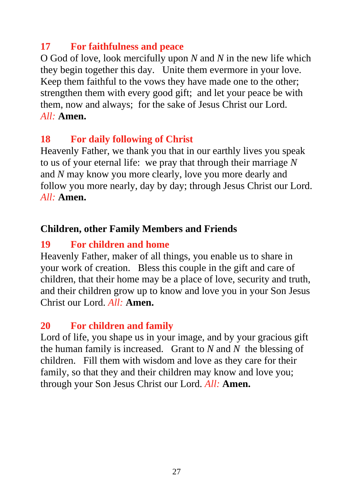# **17 For faithfulness and peace**

O God of love, look mercifully upon *N* and *N* in the new life which they begin together this day. Unite them evermore in your love. Keep them faithful to the vows they have made one to the other; strengthen them with every good gift; and let your peace be with them, now and always; for the sake of Jesus Christ our Lord. *All:* **Amen.**

# **18 For daily following of Christ**

Heavenly Father, we thank you that in our earthly lives you speak to us of your eternal life: we pray that through their marriage *N*  and *N* may know you more clearly, love you more dearly and follow you more nearly, day by day; through Jesus Christ our Lord. *All:* **Amen.**

# **Children, other Family Members and Friends**

# **19 For children and home**

Heavenly Father, maker of all things, you enable us to share in your work of creation. Bless this couple in the gift and care of children, that their home may be a place of love, security and truth, and their children grow up to know and love you in your Son Jesus Christ our Lord. *All:* **Amen.**

# **20 For children and family**

Lord of life, you shape us in your image, and by your gracious gift the human family is increased. Grant to *N* and *N* the blessing of children. Fill them with wisdom and love as they care for their family, so that they and their children may know and love you; through your Son Jesus Christ our Lord. *All:* **Amen.**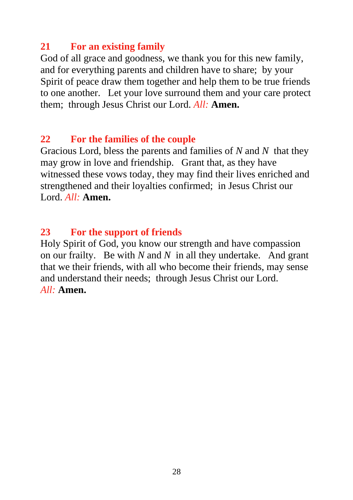### **21 For an existing family**

God of all grace and goodness, we thank you for this new family, and for everything parents and children have to share; by your Spirit of peace draw them together and help them to be true friends to one another. Let your love surround them and your care protect them; through Jesus Christ our Lord. *All:* **Amen.**

### **22 For the families of the couple**

Gracious Lord, bless the parents and families of *N* and *N* that they may grow in love and friendship. Grant that, as they have witnessed these vows today, they may find their lives enriched and strengthened and their loyalties confirmed; in Jesus Christ our Lord. *All:* **Amen.**

# **23 For the support of friends**

Holy Spirit of God, you know our strength and have compassion on our frailty. Be with *N* and *N* in all they undertake. And grant that we their friends, with all who become their friends, may sense and understand their needs; through Jesus Christ our Lord. *All:* **Amen.**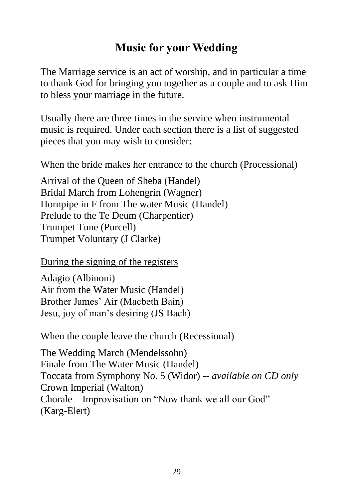# **Music for your Wedding**

The Marriage service is an act of worship, and in particular a time to thank God for bringing you together as a couple and to ask Him to bless your marriage in the future.

Usually there are three times in the service when instrumental music is required. Under each section there is a list of suggested pieces that you may wish to consider:

When the bride makes her entrance to the church (Processional)

Arrival of the Queen of Sheba (Handel) Bridal March from Lohengrin (Wagner) Hornpipe in F from The water Music (Handel) Prelude to the Te Deum (Charpentier) Trumpet Tune (Purcell) Trumpet Voluntary (J Clarke)

During the signing of the registers

Adagio (Albinoni) Air from the Water Music (Handel) Brother James' Air (Macbeth Bain) Jesu, joy of man's desiring (JS Bach)

### When the couple leave the church (Recessional)

The Wedding March (Mendelssohn) Finale from The Water Music (Handel) Toccata from Symphony No. 5 (Widor) *-- available on CD only* Crown Imperial (Walton) Chorale—Improvisation on "Now thank we all our God" (Karg-Elert)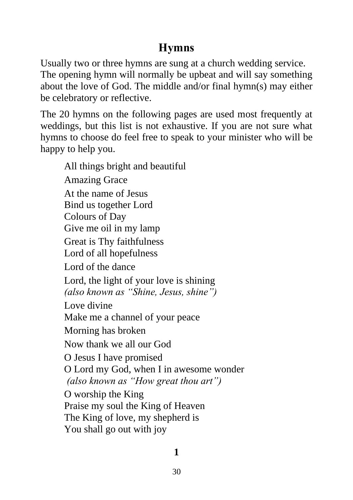# **Hymns**

Usually two or three hymns are sung at a church wedding service. The opening hymn will normally be upbeat and will say something about the love of God. The middle and/or final hymn(s) may either be celebratory or reflective.

The 20 hymns on the following pages are used most frequently at weddings, but this list is not exhaustive. If you are not sure what hymns to choose do feel free to speak to your minister who will be happy to help you.

All things bright and beautiful Amazing Grace At the name of Jesus Bind us together Lord Colours of Day Give me oil in my lamp Great is Thy faithfulness Lord of all hopefulness Lord of the dance Lord, the light of your love is shining *(also known as "Shine, Jesus, shine")* Love divine Make me a channel of your peace Morning has broken Now thank we all our God O Jesus I have promised O Lord my God, when I in awesome wonder *(also known as "How great thou art")* O worship the King Praise my soul the King of Heaven The King of love, my shepherd is You shall go out with joy

### **1**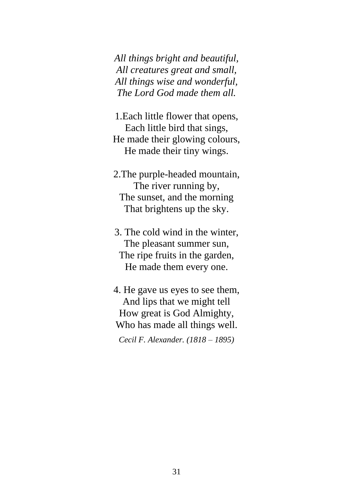*All things bright and beautiful, All creatures great and small, All things wise and wonderful, The Lord God made them all.*

1.Each little flower that opens, Each little bird that sings, He made their glowing colours, He made their tiny wings.

2.The purple-headed mountain, The river running by, The sunset, and the morning That brightens up the sky.

- 3. The cold wind in the winter, The pleasant summer sun, The ripe fruits in the garden, He made them every one.
- 4. He gave us eyes to see them, And lips that we might tell How great is God Almighty, Who has made all things well.

*Cecil F. Alexander. (1818 – 1895)*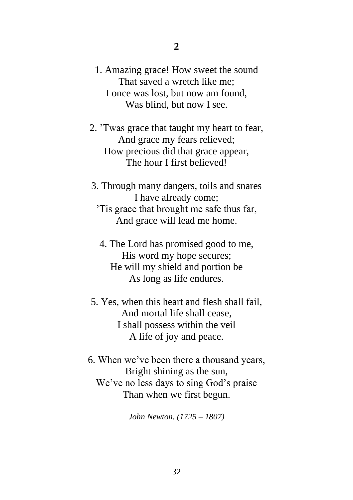- 1. Amazing grace! How sweet the sound That saved a wretch like me; I once was lost, but now am found, Was blind, but now I see.
- 2. 'Twas grace that taught my heart to fear, And grace my fears relieved; How precious did that grace appear, The hour I first believed!
- 3. Through many dangers, toils and snares I have already come; 'Tis grace that brought me safe thus far, And grace will lead me home.
	- 4. The Lord has promised good to me, His word my hope secures; He will my shield and portion be As long as life endures.
- 5. Yes, when this heart and flesh shall fail, And mortal life shall cease, I shall possess within the veil A life of joy and peace.
- 6. When we've been there a thousand years, Bright shining as the sun, We've no less days to sing God's praise Than when we first begun.

*John Newton. (1725 – 1807)*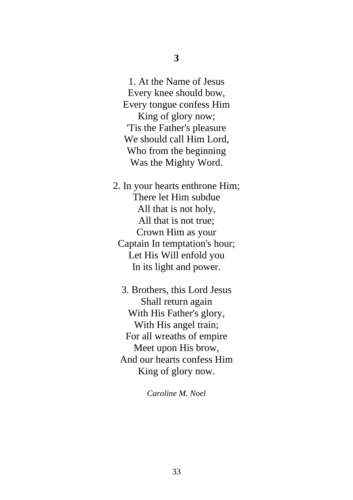1. At the Name of Jesus Every knee should bow, Every tongue confess Him King of glory now; 'Tis the Father's pleasure We should call Him Lord, Who from the beginning Was the Mighty Word.

2. In your hearts enthrone Him; There let Him subdue All that is not holy, All that is not true; Crown Him as your Captain In temptation's hour; Let His Will enfold you In its light and power.

3. Brothers, this Lord Jesus Shall return again With His Father's glory, With His angel train; For all wreaths of empire Meet upon His brow, And our hearts confess Him King of glory now.

*Caroline M. Noel*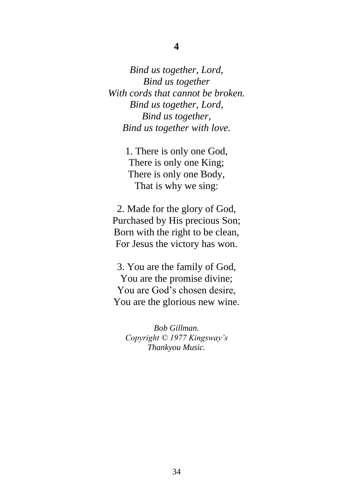*Bind us together, Lord, Bind us together With cords that cannot be broken. Bind us together, Lord, Bind us together, Bind us together with love.*

> 1. There is only one God, There is only one King; There is only one Body, That is why we sing:

2. Made for the glory of God, Purchased by His precious Son; Born with the right to be clean, For Jesus the victory has won.

3. You are the family of God, You are the promise divine; You are God's chosen desire, You are the glorious new wine.

*Bob Gillman. Copyright © 1977 Kingsway's Thankyou Music.*

**4**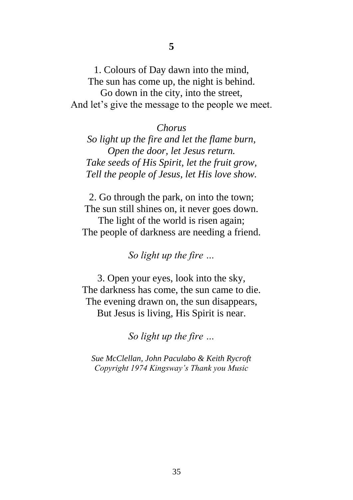1. Colours of Day dawn into the mind, The sun has come up, the night is behind. Go down in the city, into the street, And let's give the message to the people we meet.

**5**

#### *Chorus*

*So light up the fire and let the flame burn, Open the door, let Jesus return. Take seeds of His Spirit, let the fruit grow, Tell the people of Jesus, let His love show.*

2. Go through the park, on into the town; The sun still shines on, it never goes down. The light of the world is risen again; The people of darkness are needing a friend.

*So light up the fire …*

3. Open your eyes, look into the sky, The darkness has come, the sun came to die. The evening drawn on, the sun disappears, But Jesus is living, His Spirit is near.

*So light up the fire …*

*Sue McClellan, John Paculabo & Keith Rycroft Copyright 1974 Kingsway's Thank you Music*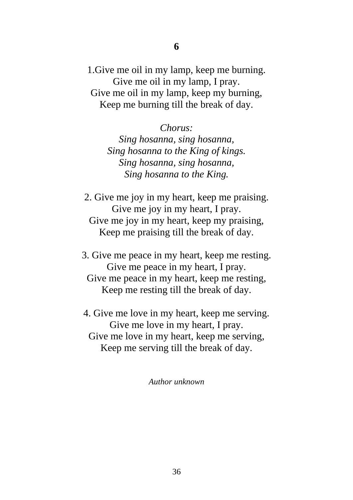1.Give me oil in my lamp, keep me burning. Give me oil in my lamp, I pray. Give me oil in my lamp, keep my burning, Keep me burning till the break of day.

*Chorus:*

*Sing hosanna, sing hosanna, Sing hosanna to the King of kings. Sing hosanna, sing hosanna, Sing hosanna to the King.*

2. Give me joy in my heart, keep me praising. Give me joy in my heart, I pray. Give me joy in my heart, keep my praising, Keep me praising till the break of day.

3. Give me peace in my heart, keep me resting. Give me peace in my heart, I pray. Give me peace in my heart, keep me resting, Keep me resting till the break of day.

4. Give me love in my heart, keep me serving. Give me love in my heart, I pray. Give me love in my heart, keep me serving, Keep me serving till the break of day.

*Author unknown*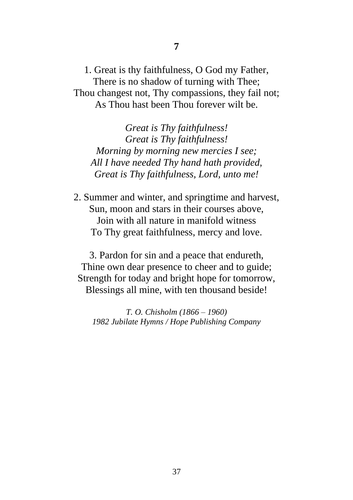1. Great is thy faithfulness, O God my Father, There is no shadow of turning with Thee; Thou changest not, Thy compassions, they fail not; As Thou hast been Thou forever wilt be.

*Great is Thy faithfulness! Great is Thy faithfulness! Morning by morning new mercies I see; All I have needed Thy hand hath provided, Great is Thy faithfulness, Lord, unto me!*

2. Summer and winter, and springtime and harvest, Sun, moon and stars in their courses above, Join with all nature in manifold witness To Thy great faithfulness, mercy and love.

3. Pardon for sin and a peace that endureth, Thine own dear presence to cheer and to guide; Strength for today and bright hope for tomorrow, Blessings all mine, with ten thousand beside!

*T. O. Chisholm (1866 – 1960) 1982 Jubilate Hymns / Hope Publishing Company*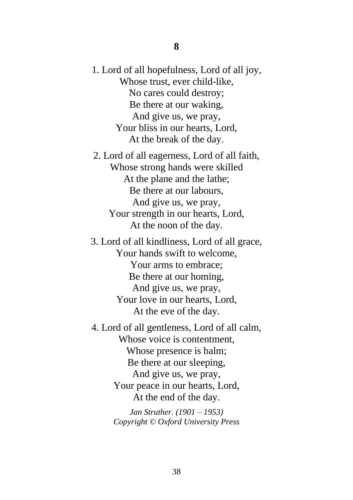1. Lord of all hopefulness, Lord of all joy, Whose trust, ever child-like, No cares could destroy; Be there at our waking, And give us, we pray, Your bliss in our hearts, Lord, At the break of the day.

2. Lord of all eagerness, Lord of all faith, Whose strong hands were skilled At the plane and the lathe; Be there at our labours, And give us, we pray, Your strength in our hearts, Lord, At the noon of the day.

3. Lord of all kindliness, Lord of all grace, Your hands swift to welcome, Your arms to embrace; Be there at our homing, And give us, we pray, Your love in our hearts, Lord, At the eve of the day.

4. Lord of all gentleness, Lord of all calm, Whose voice is contentment, Whose presence is balm; Be there at our sleeping, And give us, we pray, Your peace in our hearts, Lord, At the end of the day.

> *Jan Struther. (1901 – 1953) Copyright © Oxford University Press*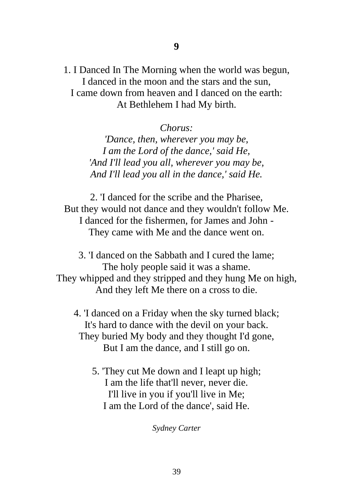1. I Danced In The Morning when the world was begun, I danced in the moon and the stars and the sun I came down from heaven and I danced on the earth: At Bethlehem I had My birth.

*Chorus:*

*'Dance, then, wherever you may be, I am the Lord of the dance,' said He, 'And I'll lead you all, wherever you may be, And I'll lead you all in the dance,' said He.*

2. 'I danced for the scribe and the Pharisee, But they would not dance and they wouldn't follow Me. I danced for the fishermen, for James and John - They came with Me and the dance went on.

3. 'I danced on the Sabbath and I cured the lame; The holy people said it was a shame. They whipped and they stripped and they hung Me on high, And they left Me there on a cross to die.

4. 'I danced on a Friday when the sky turned black; It's hard to dance with the devil on your back. They buried My body and they thought I'd gone, But I am the dance, and I still go on.

5. 'They cut Me down and I leapt up high; I am the life that'll never, never die. I'll live in you if you'll live in Me; I am the Lord of the dance', said He.

*Sydney Carter*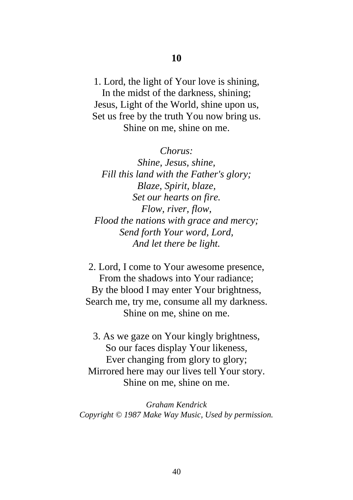1. Lord, the light of Your love is shining, In the midst of the darkness, shining; Jesus, Light of the World, shine upon us, Set us free by the truth You now bring us. Shine on me, shine on me.

*Chorus:*

*Shine, Jesus, shine, Fill this land with the Father's glory; Blaze, Spirit, blaze, Set our hearts on fire. Flow, river, flow, Flood the nations with grace and mercy; Send forth Your word, Lord, And let there be light.*

2. Lord, I come to Your awesome presence, From the shadows into Your radiance; By the blood I may enter Your brightness, Search me, try me, consume all my darkness. Shine on me, shine on me.

3. As we gaze on Your kingly brightness, So our faces display Your likeness, Ever changing from glory to glory; Mirrored here may our lives tell Your story. Shine on me, shine on me.

*Graham Kendrick Copyright © 1987 Make Way Music, Used by permission.*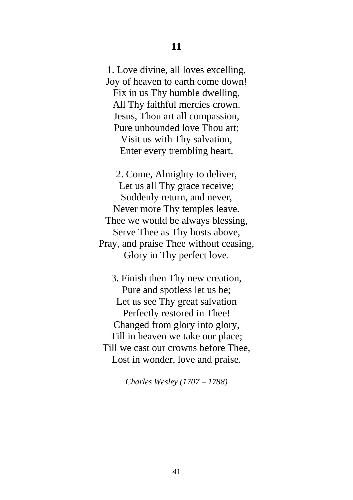1. Love divine, all loves excelling, Joy of heaven to earth come down! Fix in us Thy humble dwelling, All Thy faithful mercies crown. Jesus, Thou art all compassion, Pure unbounded love Thou art; Visit us with Thy salvation, Enter every trembling heart.

2. Come, Almighty to deliver, Let us all Thy grace receive; Suddenly return, and never, Never more Thy temples leave. Thee we would be always blessing, Serve Thee as Thy hosts above, Pray, and praise Thee without ceasing, Glory in Thy perfect love.

3. Finish then Thy new creation, Pure and spotless let us be; Let us see Thy great salvation Perfectly restored in Thee! Changed from glory into glory, Till in heaven we take our place; Till we cast our crowns before Thee, Lost in wonder, love and praise.

*Charles Wesley (1707 – 1788)*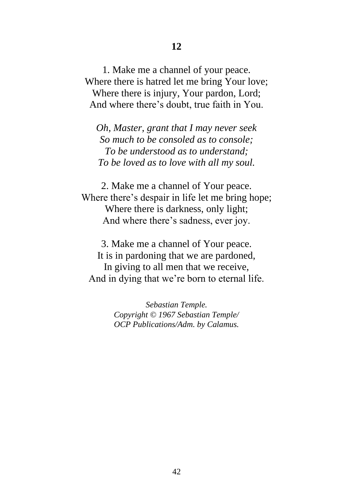**12**

1. Make me a channel of your peace. Where there is hatred let me bring Your love; Where there is injury, Your pardon, Lord; And where there's doubt, true faith in You.

*Oh, Master, grant that I may never seek So much to be consoled as to console; To be understood as to understand; To be loved as to love with all my soul.*

2. Make me a channel of Your peace. Where there's despair in life let me bring hope; Where there is darkness, only light; And where there's sadness, ever joy.

3. Make me a channel of Your peace. It is in pardoning that we are pardoned, In giving to all men that we receive, And in dying that we're born to eternal life.

> *Sebastian Temple. Copyright © 1967 Sebastian Temple/ OCP Publications/Adm. by Calamus.*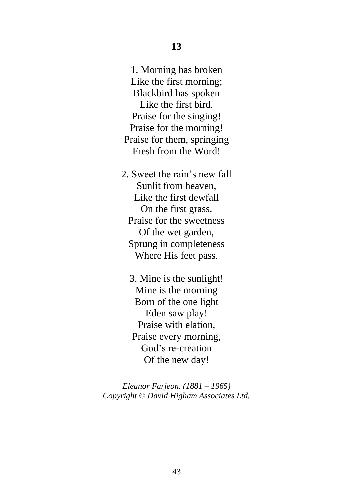1. Morning has broken Like the first morning; Blackbird has spoken Like the first bird. Praise for the singing! Praise for the morning! Praise for them, springing Fresh from the Word!

2. Sweet the rain's new fall Sunlit from heaven, Like the first dewfall On the first grass. Praise for the sweetness Of the wet garden, Sprung in completeness Where His feet pass.

3. Mine is the sunlight! Mine is the morning Born of the one light Eden saw play! Praise with elation, Praise every morning, God's re-creation Of the new day!

*Eleanor Farjeon. (1881 – 1965) Copyright © David Higham Associates Ltd.*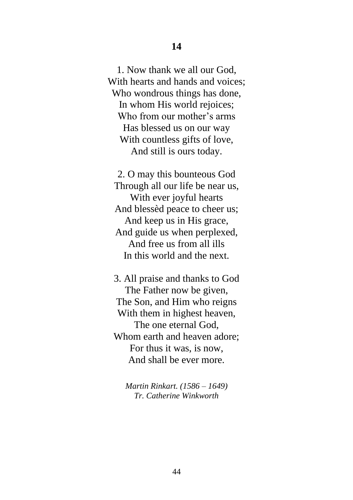1. Now thank we all our God, With hearts and hands and voices; Who wondrous things has done, In whom His world rejoices; Who from our mother's arms Has blessed us on our way With countless gifts of love, And still is ours today.

2. O may this bounteous God Through all our life be near us, With ever joyful hearts And blessèd peace to cheer us; And keep us in His grace, And guide us when perplexed, And free us from all ills In this world and the next.

3. All praise and thanks to God The Father now be given, The Son, and Him who reigns With them in highest heaven, The one eternal God, Whom earth and heaven adore; For thus it was, is now, And shall be ever more.

*Martin Rinkart. (1586 – 1649) Tr. Catherine Winkworth*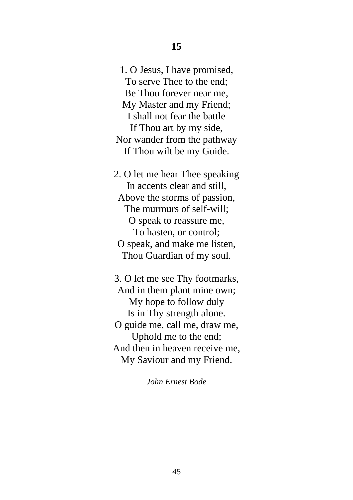1. O Jesus, I have promised, To serve Thee to the end; Be Thou forever near me, My Master and my Friend; I shall not fear the battle If Thou art by my side, Nor wander from the pathway If Thou wilt be my Guide.

2. O let me hear Thee speaking In accents clear and still, Above the storms of passion, The murmurs of self-will; O speak to reassure me, To hasten, or control; O speak, and make me listen, Thou Guardian of my soul.

3. O let me see Thy footmarks, And in them plant mine own; My hope to follow duly Is in Thy strength alone. O guide me, call me, draw me, Uphold me to the end; And then in heaven receive me, My Saviour and my Friend.

*John Ernest Bode*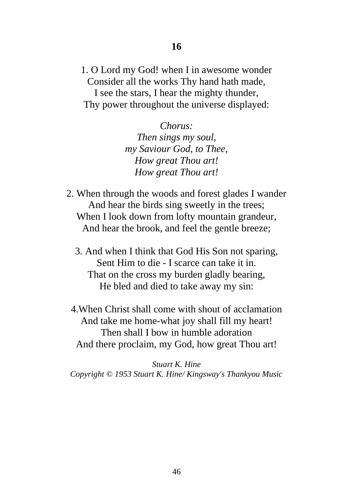1. O Lord my God! when I in awesome wonder Consider all the works Thy hand hath made, I see the stars, I hear the mighty thunder, Thy power throughout the universe displayed:

> *Chorus: Then sings my soul, my Saviour God, to Thee, How great Thou art! How great Thou art!*

- 2. When through the woods and forest glades I wander And hear the birds sing sweetly in the trees; When I look down from lofty mountain grandeur, And hear the brook, and feel the gentle breeze;
	- 3. And when I think that God His Son not sparing, Sent Him to die - I scarce can take it in. That on the cross my burden gladly bearing, He bled and died to take away my sin:

4.When Christ shall come with shout of acclamation And take me home-what joy shall fill my heart! Then shall I bow in humble adoration And there proclaim, my God, how great Thou art!

*Stuart K. Hine Copyright © 1953 Stuart K. Hine/ Kingsway's Thankyou Music*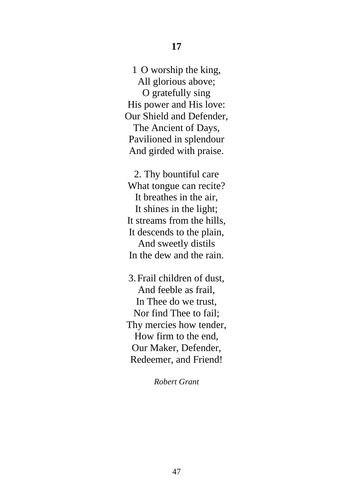1 O worship the king, All glorious above; O gratefully sing His power and His love: Our Shield and Defender, The Ancient of Days, Pavilioned in splendour And girded with praise.

2. Thy bountiful care What tongue can recite? It breathes in the air, It shines in the light; It streams from the hills, It descends to the plain, And sweetly distils In the dew and the rain.

3.Frail children of dust, And feeble as frail, In Thee do we trust, Nor find Thee to fail; Thy mercies how tender, How firm to the end, Our Maker, Defender, Redeemer, and Friend!

*Robert Grant*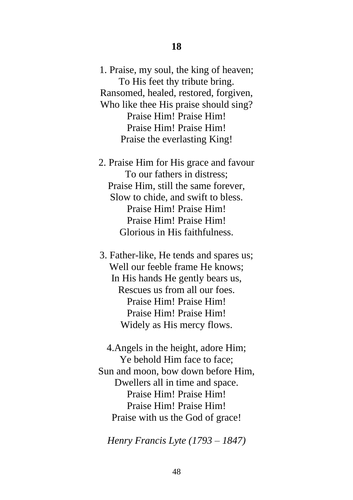1. Praise, my soul, the king of heaven; To His feet thy tribute bring. Ransomed, healed, restored, forgiven, Who like thee His praise should sing? Praise Him! Praise Him! Praise Him! Praise Him! Praise the everlasting King!

2. Praise Him for His grace and favour To our fathers in distress; Praise Him, still the same forever, Slow to chide, and swift to bless. Praise Him! Praise Him! Praise Him! Praise Him! Glorious in His faithfulness.

3. Father-like, He tends and spares us; Well our feeble frame He knows: In His hands He gently bears us, Rescues us from all our foes. Praise Him! Praise Him! Praise Him! Praise Him! Widely as His mercy flows.

4.Angels in the height, adore Him; Ye behold Him face to face; Sun and moon, bow down before Him, Dwellers all in time and space. Praise Him! Praise Him! Praise Him! Praise Him! Praise with us the God of grace!

*Henry Francis Lyte (1793 – 1847)*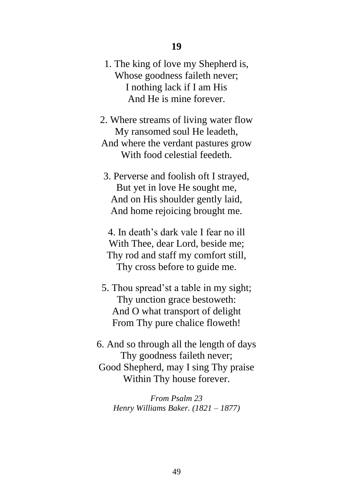- 1. The king of love my Shepherd is, Whose goodness faileth never; I nothing lack if I am His And He is mine forever.
- 2. Where streams of living water flow My ransomed soul He leadeth, And where the verdant pastures grow With food celestial feedeth.
	- 3. Perverse and foolish oft I strayed, But yet in love He sought me, And on His shoulder gently laid, And home rejoicing brought me.

4. In death's dark vale I fear no ill With Thee, dear Lord, beside me; Thy rod and staff my comfort still, Thy cross before to guide me.

5. Thou spread'st a table in my sight; Thy unction grace bestoweth: And O what transport of delight From Thy pure chalice floweth!

6. And so through all the length of days Thy goodness faileth never; Good Shepherd, may I sing Thy praise Within Thy house forever.

> *From Psalm 23 Henry Williams Baker. (1821 – 1877)*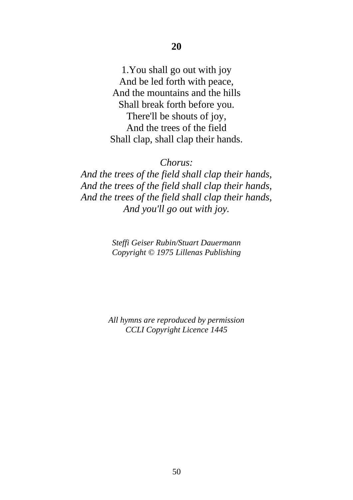1.You shall go out with joy And be led forth with peace, And the mountains and the hills Shall break forth before you. There'll be shouts of joy, And the trees of the field Shall clap, shall clap their hands.

#### *Chorus:*

*And the trees of the field shall clap their hands, And the trees of the field shall clap their hands, And the trees of the field shall clap their hands, And you'll go out with joy.*

> *Steffi Geiser Rubin/Stuart Dauermann Copyright © 1975 Lillenas Publishing*

*All hymns are reproduced by permission CCLI Copyright Licence 1445*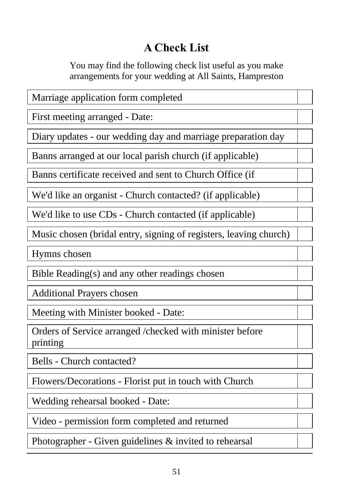# **A Check List**

You may find the following check list useful as you make arrangements for your wedding at All Saints, Hampreston

Marriage application form completed

First meeting arranged - Date:

Diary updates - our wedding day and marriage preparation day

Banns arranged at our local parish church (if applicable)

Banns certificate received and sent to Church Office (if

applicable) We'd like an organist - Church contacted? (if applicable)

We'd like to use CDs - Church contacted (if applicable)

Music chosen (bridal entry, signing of registers, leaving church)

Hymns chosen

Bible Reading(s) and any other readings chosen

Additional Prayers chosen

Meeting with Minister booked - Date:

Orders of Service arranged /checked with minister before printing

Bells - Church contacted?

Flowers/Decorations - Florist put in touch with Church

Wedding rehearsal booked - Date:

Video - permission form completed and returned

Photographer - Given guidelines & invited to rehearsal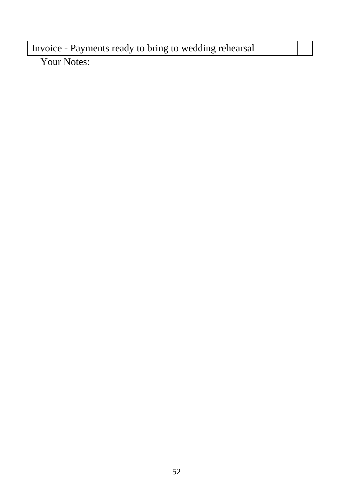Invoice - Payments ready to bring to wedding rehearsal

Your Notes: